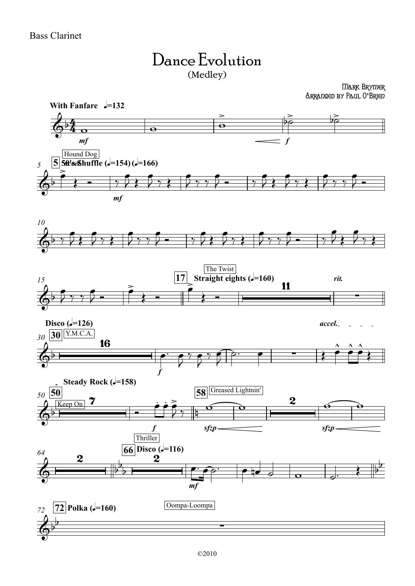

Mark Brymer Arranged by Paul O**'**Brien

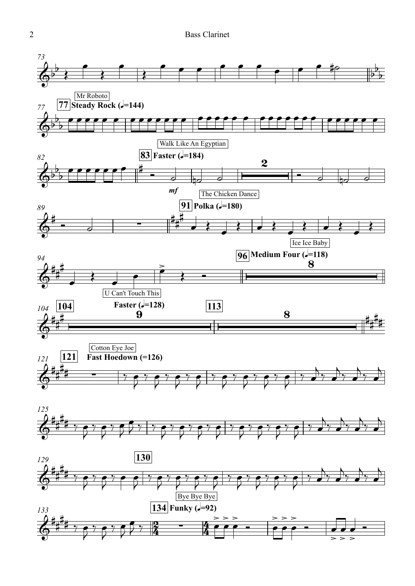